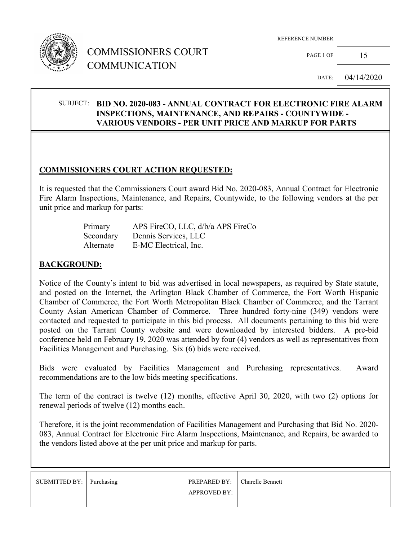

# COMMISSIONERS COURT COMMUNICATION

REFERENCE NUMBER

PAGE 1 OF  $15$ 

DATE: 04/14/2020

#### SUBJECT: **BID NO. 2020-083 - ANNUAL CONTRACT FOR ELECTRONIC FIRE ALARM INSPECTIONS, MAINTENANCE, AND REPAIRS - COUNTYWIDE - VARIOUS VENDORS - PER UNIT PRICE AND MARKUP FOR PARTS**

### **COMMISSIONERS COURT ACTION REQUESTED:**

It is requested that the Commissioners Court award Bid No. 2020-083, Annual Contract for Electronic Fire Alarm Inspections, Maintenance, and Repairs, Countywide, to the following vendors at the per unit price and markup for parts:

| Primary   | APS FireCO, LLC, d/b/a APS FireCo |
|-----------|-----------------------------------|
| Secondary | Dennis Services, LLC              |
| Alternate | E-MC Electrical, Inc.             |

#### **BACKGROUND:**

Notice of the County's intent to bid was advertised in local newspapers, as required by State statute, and posted on the Internet, the Arlington Black Chamber of Commerce, the Fort Worth Hispanic Chamber of Commerce, the Fort Worth Metropolitan Black Chamber of Commerce, and the Tarrant County Asian American Chamber of Commerce. Three hundred forty-nine (349) vendors were contacted and requested to participate in this bid process. All documents pertaining to this bid were posted on the Tarrant County website and were downloaded by interested bidders. A pre-bid conference held on February 19, 2020 was attended by four (4) vendors as well as representatives from Facilities Management and Purchasing. Six (6) bids were received.

Bids were evaluated by Facilities Management and Purchasing representatives. Award recommendations are to the low bids meeting specifications.

The term of the contract is twelve (12) months, effective April 30, 2020, with two (2) options for renewal periods of twelve (12) months each.

Therefore, it is the joint recommendation of Facilities Management and Purchasing that Bid No. 2020- 083, Annual Contract for Electronic Fire Alarm Inspections, Maintenance, and Repairs, be awarded to the vendors listed above at the per unit price and markup for parts.

| SUBMITTED BY: Purchasing | <b>PREPARED BY:</b>   Charelle Bennett<br><b>APPROVED BY:</b> |  |
|--------------------------|---------------------------------------------------------------|--|
|                          |                                                               |  |